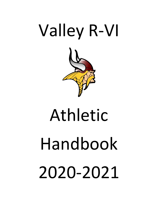

# Athletic Handbook 2020-2021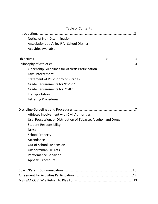| <b>Table of Contents</b>                                        |
|-----------------------------------------------------------------|
|                                                                 |
| Notice of Non-Discrimination                                    |
| Associations at Valley R-VI School District                     |
| <b>Activities Available</b>                                     |
|                                                                 |
|                                                                 |
| Citizenship Guidelines for Athletic Participation               |
| Law Enforcement                                                 |
| <b>Statement of Philosophy on Grades</b>                        |
| Grade Requirements for 9 <sup>th</sup> -12 <sup>th</sup>        |
| Grade Requirements for 7 <sup>th</sup> -8 <sup>th</sup>         |
| Transportation                                                  |
| Lettering Procedures                                            |
|                                                                 |
| Athletes Involvement with Civil Authorities                     |
| Use, Possession, or Distribution of Tobacco, Alcohol, and Drugs |
| <b>Student Responsibility</b>                                   |
| <b>Dress</b>                                                    |
| <b>School Property</b>                                          |
| Attendance                                                      |
| Out of School Suspension                                        |
| <b>Unsportsmanlike Acts</b>                                     |
| Performance Behavior                                            |
| <b>Appeals Procedure</b>                                        |
| <b>10</b>                                                       |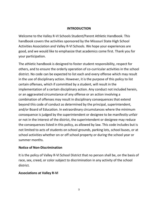#### **INTRODUCTION**

Welcome to the Valley R-VI Schools Student/Parent Athletic Handbook. This handbook covers the activities sponsored by the Missouri State High School Activities Association and Valley R-VI Schools. We hope your experiences are good, and we would like to emphasize that academics come first. Thank you for your participation.

The athletic handbook is designed to foster student responsibility, respect for others, and to ensure the orderly operation of co-curricular activities in the school district. No code can be expected to list each and every offense which may result in the use of disciplinary action. However, it is the purpose of this policy to list certain offenses, which if committed by a student, will result in the implementation of a certain disciplinary action. Any conduct not included herein, or an aggravated circumstance of any offense or an action involving a combination of offenses may result in disciplinary consequences that extend beyond this code of conduct as determined by the principal, superintendent, and/or Board of Education. In extraordinary circumstances where the minimum consequence is judged by the superintendent or designee to be manifestly unfair or not in the interest of the district, the superintendent or designee may reduce the consequences listed in this policy, as allowed by law. This code includes but is not limited to acts of students on school grounds, parking lots, school buses, or at school activities whether on or off school property or during the school year or summer months.

## **Notice of Non-Discrimination**

It is the policy of Valley R-VI School District that no person shall be, on the basis of race, sex, creed, or color subject to discrimination in any activity of the school district.

# **Associations at Valley R-VI**

3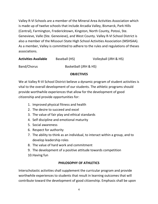Valley R-VI Schools are a member of the Mineral Area Activities Association which is made up of twelve schools that include Arcadia Valley, Bismarck, Park Hills (Central), Farmington, Fredericktown, Kingston, North County, Potosi, Ste. Genevieve, Valle (Ste. Genevieve), and West County. Valley R-VI School District is also a member of the Missouri State High School Activities Association (MSHSAA). As a member, Valley is committed to adhere to the rules and regulations of theses associations.

| <b>Activities Available</b> | Baseball (HS) | Volleyball (JRH & HS) |
|-----------------------------|---------------|-----------------------|
|                             |               |                       |

Band/Chorus Basketball (JRH & HS)

## **OBJECTIVES**

We at Valley R-VI School District believe a dynamic program of student activities is vital to the overall development of our students. The athletic programs should provide worthwhile experiences that allow for the development of good citizenship and provide opportunities for:

- 1. Improved physical fitness and health
- 2. The desire to succeed and excel
- 3. The value of fair play and ethical standards
- 4. Self discipline and emotional maturity
- 5. Social awareness
- 6. Respect for authority
- 7. The ability to think as an individual, to interact within a group, and to develop leadership roles
- 8. The value of hard work and commitment
- 9. The development of a positive attitude towards competition
- 10.Having fun

# **PHILOSOPHY OF ATHLETICS**

Interscholastic activities shall supplement the curricular program and provide worthwhile experiences to students that result in learning outcomes that will contribute toward the development of good citizenship. Emphasis shall be upon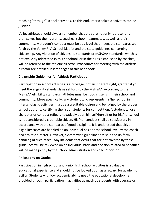teaching "through" school activities. To this end, interscholastic activities can be justified.

Valley athletes should always remember that they are not only representing themselves but their parents, coaches, school, teammates, as well as their community. A student's conduct must be at a level that meets the standards set forth by the Valley R-VI School District and the state guidelines concerning citizenship. Any violation of citizenship standards or MSHSAA standards, which is not explicitly addressed in this handbook or in the rules established by coaches, will be referred to the athletic director. Procedures for meeting with the athletic director are detailed in later pages of this handbook.

# **Citizenship Guidelines for Athletic Participation**

Participation in school activities is a privilege, not an inherent right, granted if you meet the eligibility standards as set forth by the MSHSAA. According to the MSHSAA eligibility standards, athletes must be good citizens in their school and community. More specifically, any student who represents his/her school in interscholastic activities must be a creditable citizen and be judged by the proper school authority certifying the list of students for competition. A student whose character or conduct reflects negatively upon himself/herself or for his/her school is not considered a creditable citizen. His/her conduct shall be satisfactory in accordance with the standards of good discipline. It is understood that citizen eligibility cases are handled on an individual basis at the school level by the coach and athletic director. However, system wide guidelines assist in the uniform handling of such cases. Any incidents that occur that are not covered by these guidelines will be reviewed on an individual basis and decision related to penalties will be made jointly by the school administration and coach/sponsor.

# **Philosophy on Grades**

Participation in high school and junior high school activities is a valuable educational experience and should not be looked upon as a reward for academic ability. Students with low academic ability need the educational development provided through participation in activities as much as students with average or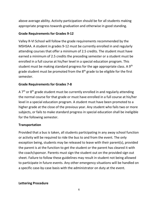above average ability. Activity participation should be for all students making appropriate progress towards graduation and otherwise in good standing.

# **Grade Requirements for Grades 9-12**

Valley R-VI School will follow the grade requirements recommended by the MSHSAA. A student in grades 9-12 must be currently enrolled in and regularly attending courses that offer a minimum of 2.5 credits. The student must have earned a minimum of 2.5 credits the preceding semester or a student must be enrolled in a full course at his/her level in a special education program. This student must be making standard progress for the age appropriate class. A  $9<sup>th</sup>$ grade student must be promoted from the  $8<sup>th</sup>$  grade to be eligible for the first semester.

# **Grade Requirements for Grades 7-8**

A 7<sup>th</sup> or 8<sup>th</sup> grade student must be currently enrolled in and regularly attending the normal course for that grade or must have enrolled in a full course at his/her level in a special education program. A student must have been promoted to a higher grade at the close of the previous year. Any student who fails two or more subjects, or fails to make standard progress in special education shall be ineligible for the following semester.

## **Transportation**

Provided that a bus is taken, all students participating in any away school function or activity will be required to ride the bus to and from the event. The only exception being, students may be released to leave with their parent(s), provided the parent is at the function to get the student or the parent has cleared it with the coach/sponsor. Parents must sign the student out on the provided sign out sheet. Failure to follow these guidelines may result in student not being allowed to participate in future events. Any other emergency situations will be handled on a specific case-by-case basis with the administrator on duty at the event.

## **Lettering Procedure**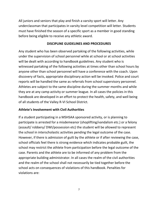All juniors and seniors that play and finish a varsity sport will letter. Any underclassman that participates in varsity level competition will letter. Students must have finished the season of a specific sport as a member in good standing before being eligible to receive any athletic award.

# **DISCIPLINE GUIDELINES AND PROCEDURES**

Any student who has been observed partaking of the following activities, while under the supervision of school personnel while at school or at school activities will be dealt with according to handbook guidelines. Any student who is witnessed partaking of the following activities at times other than school hours by anyone other than school personnel will have a conference with the coach. Upon discovery of facts, appropriate disciplinary action will be invoked. Police and court reports will be handled the same as referrals from school supervisory personnel. Athletes are subject to the same discipline during the summer months and while they are at any camp activity or summer league. In all cases the policies in this handbook are developed in an effort to protect the health, safety, and well being of all students of the Valley R-VI School District.

# **Athlete's Involvement with Civil Authorities**

If a student participating in a MSHSAA sponsored activity, or is planning to participate is arrested for a misdemeanor (shoplifting/vandalism etc.) or a felony (assault/ robbery/ DWI/possession etc) the student will be allowed to represent the school in interscholastic activities pending the legal outcome of the case. However, if there is admission of guilt by the athlete or if after reviewing the case, school officials feel there is strong evidence which indicates probable guilt, the school may restrict the athlete from participation before the legal outcome of the case. Parents and the athlete are to be informed of any problem from the appropriate building administrator. In all cases the realm of the civil authorities and the realm of the school shall not necessarily be tied together before the school acts on consequences of violations of this handbook. Penalties for violations are: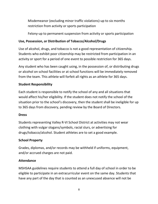Misdemeanor (excluding minor traffic violations)-up to six months restriction from activity or sports participation

Felony-up to permanent suspension from activity or sports participation

# **Use, Possession, or Distribution of Tobacco/Alcohol/Drugs**

Use of alcohol, drugs, and tobacco is not a good representation of citizenship. Students who exhibit poor citizenship may be restricted from participation in an activity or sport for a period of one event to possible restriction for 365 days.

Any student who has been caught using, in the possession of, or distributing drugs or alcohol on school facilities or at school functions will be immediately removed from the team. This athlete will forfeit all rights as an athlete for 365 days.

# **Student Responsibility**

Each student is responsible to notify the school of any and all situations that would affect his/her eligibility. If the student does not notify the school of the situation prior to the school's discovery, then the student shall be ineligible for up to 365 days from discovery, pending review by the Board of Directors.

# **Dress**

Students representing Valley R-VI School District at activities may not wear clothing with vulgar slogans/symbols, racial slurs, or advertising for drugs/tobacco/alcohol. Student athletes are to set a good example.

# **School Property**

Grades, diplomas, and/or records may be withheld if uniforms, equipment, and/or accrued charges are not paid.

# **Attendance**

MSHSAA guidelines require students to attend a full day of school in order to be eligible to participate in an extracurricular event on the same day. Students that have any part of the day that is counted as an unexcused absence will not be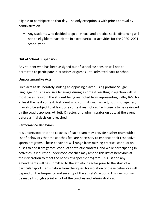eligible to participate on that day. The only exception is with prior approval by administration.

• Any students who decided to go all virtual and practice social distancing will not be eligible to participate in extra-curricular activities for the 2020 -2021 school year.

# **Out of School Suspension**

Any student who has been assigned out of school suspension will not be permitted to participate in practices or games until admitted back to school.

# **Unsportsmanlike Acts**

Such acts as deliberately striking an opposing player, using profane/vulgar language, or using abusive language during a contest resulting in ejection will, in most cases, result in the student being restricted from representing Valley R-VI for at least the next contest. A student who commits such an act, but is not ejected, may also be subject to at least one contest restriction. Each case is to be reviewed by the coach/sponsor, Athletic Director, and administrator on duty at the event before a final decision is reached.

## **Performance Behaviors**

It is understood that the coaches of each team may provide his/her team with a list of behaviors that the coaches feel are necessary to enhance their respective sports programs. These behaviors will range from missing practice, conduct on buses to and from games, conduct at athletic contests, and while participating in activities. It is further understood coaches may amend this list of behaviors at their discretion to meet the needs of a specific program. This list and any amendments will be submitted to the athletic director prior to the start of a particular sport. Termination from the squad for violation of these behaviors will depend on the frequency and severity of the athlete's actions. This decision will be made through a joint effort of the coaches and administration.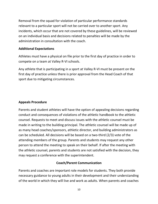Removal from the squad for violation of particular performance standards relevant to a particular sport will not be carried over to another sport. Any incidents, which occur that are not covered by these guidelines, will be reviewed on an individual basis and decisions related to penalties will be made by the administration in consultation with the coach.

# **Additional Expectations**

Athletes must have a physical on file prior to the first day of practice in order to compete on a team at Valley R-VI schools.

Any athlete that is participating in a sport at Valley R-VI must be present on the first day of practice unless there is prior approval from the Head Coach of that sport due to mitigating circumstances.

## **Appeals Procedure**

Parents and student athletes will have the option of appealing decisions regarding conduct and consequences of violations of the athletic handbook to the athletic counsel. Requests to meet and discuss issues with the athletic counsel must be made in writing to the building principal. The athletic counsel will be made up of as many head coaches/sponsors, athletic director, and building administrators as can be scheduled. All decisions will be based on a two-third (2/3) vote of the attending members of the group. Parents and students may request any other person to attend the meeting to speak on their behalf. If after the meeting with the athletic counsel, parents and students are not satisfied with the decision, they may request a conference with the superintendent.

## **Coach/Parent Communication**

Parents and coaches are important role models for students. They both provide necessary guidance to young adults in their development and their understanding of the world in which they will live and work as adults. When parents and coaches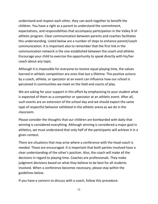understand and respect each other, they can work together to benefit the children. You have a right as a parent to understand the commitment, expectations, and responsibilities that accompany participation in the Valley R-VI athletic program. Clear communication between parents and coaches facilitates this understanding. Listed below are a number of steps to enhance parent/coach communication. It is important also to remember that the first link in the communication network is the one established between the coach and athlete. Encourage your child to exercise the opportunity to speak directly with his/her coach about any topic.

Although it is impossible for everyone to receive equal playing time, the values learned in athletic competition are ones that last a lifetime. The positive actions by a coach, athlete, or spectator at an event can influence how our school is perceived in communities we meet on the field and courts of play.

We are asking for your support in this effort by emphasizing to your student what is expected of them as a competitor or spectator at an athletic event. After all, such events are an extension of the school day and we should expect the same type of respectful behavior exhibited in the athletic arena as we do in the classroom.

Please consider the thoughts that our children are bombarded with daily-that winning is considered everything. Although winning is considered a major goal in athletics, we must understand that only half of the participants will achieve it in a given contest.

There are situations that may arise where a conference with the head coach is needed. These are encouraged. It is important that both parties involved have a clear understanding of the other's position. Also, the coach will make all the decisions in regard to playing time. Coaches are professionals. They make judgment decisions based on what they believe to be best for all students involved. When a conference becomes necessary, please stay within the guidelines below.

If you have a concern to discuss with a coach, follow this procedure: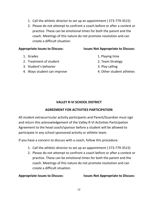- 1. Call the athletic director to set up an appointment ( 573-779-3515)
- 2. Please do not attempt to confront a coach before or after a contest or practice. These can be emotional times for both the parent and the coach. Meetings of this nature do not promote resolution and can create a difficult situation.

- 
- 2. Treatment of student 2. Team Strategy
- 3. Student's behavior 3. Play calling
- 4. Ways student can improve 4. Other student athletes

#### **Appropriate Issues to Discuss: Issues Not Appropriate to Discuss:**

- 1. Grades 2. Playing time
	-
	-
	-

# **VALLEY R-VI SCHOOL DISTRICT**

# **AGREEMENT FOR ACTIVITIES PARTICIPATION**

All student extracurricular activity participants and Parent/Guardian must sign and return this acknowledgement of the Valley R-VI Activities Participation Agreement to the head coach/sponsor before a student will be allowed to participate in any school sponsored activity or athletic team.

If you have a concern to discuss with a coach, follow this procedure:

- 1. Call the athletic director to set up an appointment ( 573-779-3515)
- 2. Please do not attempt to confront a coach before or after a contest or practice. These can be emotional times for both the parent and the coach. Meetings of this nature do not promote resolution and can create a difficult situation.

**Appropriate Issues to Discuss: Issues Not Appropriate to Discuss:**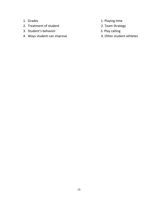- 
- 2. Treatment of student 2. Team Strategy
- 3. Student's behavior and a set of the set of the set of the set of the set of the set of the set of the set of the set of the set of the set of the set of the set of the set of the set of the set of the set of the set of
- 4. Ways student can improve  $\begin{array}{ccc} 4. & \text{Other student } \end{array}$
- 1. Grades 2. Playing time
	-
	-
	-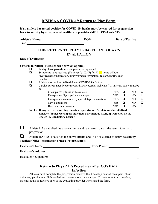# **MSHSAA COVID-19 Return to Play Form**

|        | Athlete's Name: DOB: Date of Positive                                                                                                                                                                  |            |        |                |        |
|--------|--------------------------------------------------------------------------------------------------------------------------------------------------------------------------------------------------------|------------|--------|----------------|--------|
|        | THIS RETURN TO PLAY IS BASED ON TODAY'S<br><b>EVALUATION</b>                                                                                                                                           |            |        |                |        |
|        |                                                                                                                                                                                                        |            |        |                |        |
|        | Criteria to return (Please check below as applies)                                                                                                                                                     |            |        |                |        |
| ❏      | 14 days have passed since symptoms first appeared                                                                                                                                                      |            |        |                |        |
| $\Box$ | Symptoms have resolved (No fever $(\geq 100.4F)$ for $72$ hours without                                                                                                                                |            |        |                |        |
|        | fever reducing medication, improvement of symptoms (cough, shortness of                                                                                                                                |            |        |                |        |
|        | breath)                                                                                                                                                                                                |            |        |                |        |
| ❏      | Athlete was not hospitalized due to COVID-19 infection.                                                                                                                                                |            |        |                |        |
| $\Box$ | Cardiac screen negative for myocarditis/myocardial ischemia (All answers below must be<br>no)                                                                                                          |            |        |                |        |
|        | Chest pain/tightness with exercise                                                                                                                                                                     | <b>YES</b> | $\Box$ | N <sub>O</sub> |        |
|        | Unexplained Syncope/near syncope                                                                                                                                                                       | <b>YES</b> | $\Box$ | N <sub>O</sub> | $\Box$ |
|        | Unexplained/excessive dyspnea/fatigue w/exertion                                                                                                                                                       | YES        | □      | N <sub>O</sub> | $\Box$ |
|        | New palpitations                                                                                                                                                                                       | <b>YES</b> | $\Box$ | N <sub>O</sub> | $\Box$ |
|        | Heart murmur on exam                                                                                                                                                                                   | <b>YES</b> | $\Box$ | N <sub>O</sub> |        |
|        | NOTE: If any cardiac screening question is positive or if athlete was hospitalized,<br>consider further workup as indicated. May include CXR, Spirometry, PFTs,<br><b>Chest CT, Cardiology Consult</b> |            |        |                |        |
|        | Athlete HAS satisfied the above criteria and IS cleared to start the return to activity<br>progression.                                                                                                |            |        |                |        |
|        | Athlete HAS NOT satisfied the above criteria and IS NOT cleared to return to activity                                                                                                                  |            |        |                |        |
|        | <b>Medical Office Information (Please Print/Stamp):</b>                                                                                                                                                |            |        |                |        |
|        |                                                                                                                                                                                                        |            |        |                |        |
|        |                                                                                                                                                                                                        |            |        |                |        |

# **Return to Play (RTP) Procedures After COVID-19 Infection**

Athletes must complete the progression below without development of chest pain, chest tightness, palpitations, lightheadedness, pre-syncope or syncope. If these symptoms develop, patient should be referred back to the evaluating provider who signed the form.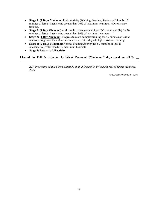- **Stage 1: (2 Days Minimum)** Light Activity (Walking, Jogging, Stationary Bike) for 15 minutes or less at intensity no greater than 70% of maximum heart rate. NO resistance training.
- **Stage 2: (1 Day Minimum)** Add simple movement activities (EG. running drills) for 30 minutes or less at intensity no greater than 80% of maximum heart rate
- **Stage 3: (1 Day Minimum)** Progress to more complex training for 45 minutes or less at intensity no greater than 80% maximumheart rate. May add light resistance training.
- **Stage 4: (2 Days Minimum)** Normal Training Activity for 60 minutes or less at intensity no greater than  $80\%$  maximum heartrate
- **Stage 5: Return to full activity**

**Cleared for Full Participation by School Personnel (Minimum 7 days spent on RTP): \_\_**

*RTP Procedure adapted from Elliott N, et al. Infographic. British Journal of Sports Medicine, 2020.* 

UPDATED: 8/10/2020 8:45 AM